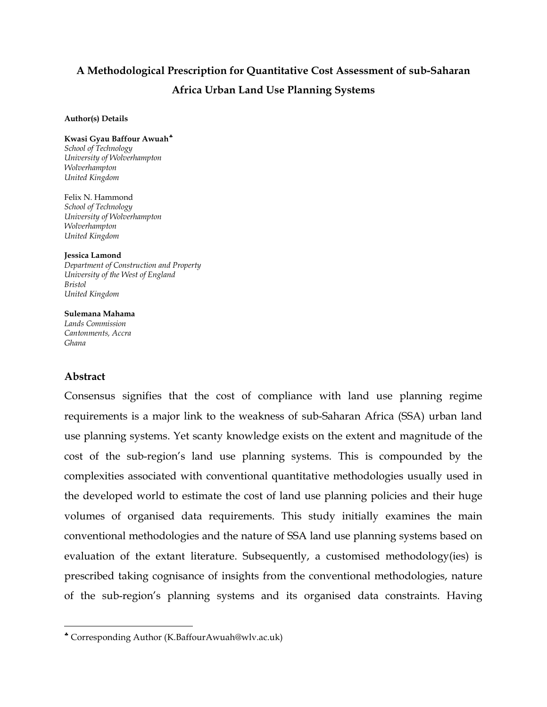# **A Methodological Prescription for Quantitative Cost Assessment of sub-Saharan Africa Urban Land Use Planning Systems**

#### **Author(s) Details**

#### **Kwasi Gyau Baffour Awuah**[♣](#page-0-0)

*School of Technology University of Wolverhampton Wolverhampton United Kingdom*

Felix N. Hammond *School of Technology University of Wolverhampton Wolverhampton United Kingdom*

**Jessica Lamond** *Department of Construction and Property University of the West of England Bristol United Kingdom*

#### **Sulemana Mahama**

*Lands Commission Cantonments, Accra Ghana*

## **Abstract**

 $\overline{a}$ 

Consensus signifies that the cost of compliance with land use planning regime requirements is a major link to the weakness of sub-Saharan Africa (SSA) urban land use planning systems. Yet scanty knowledge exists on the extent and magnitude of the cost of the sub-region's land use planning systems. This is compounded by the complexities associated with conventional quantitative methodologies usually used in the developed world to estimate the cost of land use planning policies and their huge volumes of organised data requirements. This study initially examines the main conventional methodologies and the nature of SSA land use planning systems based on evaluation of the extant literature. Subsequently, a customised methodology(ies) is prescribed taking cognisance of insights from the conventional methodologies, nature of the sub-region's planning systems and its organised data constraints. Having

<span id="page-0-0"></span><sup>♣</sup> Corresponding Author (K.BaffourAwuah@wlv.ac.uk)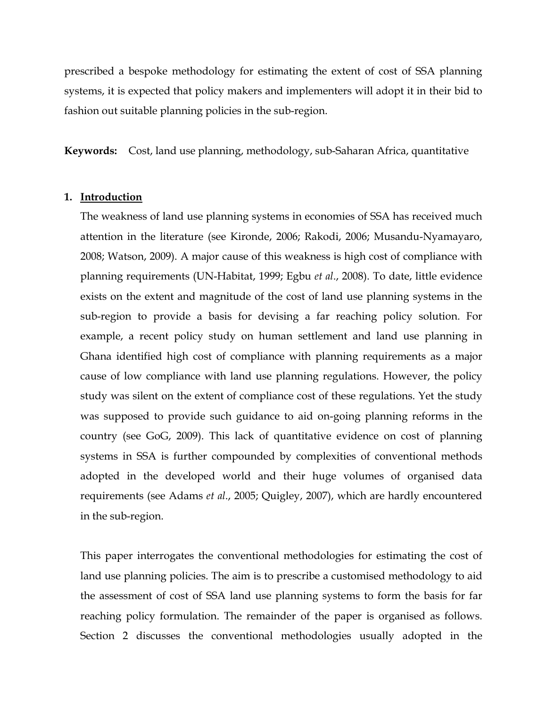prescribed a bespoke methodology for estimating the extent of cost of SSA planning systems, it is expected that policy makers and implementers will adopt it in their bid to fashion out suitable planning policies in the sub-region.

**Keywords:** Cost, land use planning, methodology, sub-Saharan Africa, quantitative

#### **1. Introduction**

The weakness of land use planning systems in economies of SSA has received much attention in the literature (see Kironde, 2006; Rakodi, 2006; Musandu-Nyamayaro, 2008; Watson, 2009). A major cause of this weakness is high cost of compliance with planning requirements (UN-Habitat, 1999; Egbu *et al*., 2008). To date, little evidence exists on the extent and magnitude of the cost of land use planning systems in the sub-region to provide a basis for devising a far reaching policy solution. For example, a recent policy study on human settlement and land use planning in Ghana identified high cost of compliance with planning requirements as a major cause of low compliance with land use planning regulations. However, the policy study was silent on the extent of compliance cost of these regulations. Yet the study was supposed to provide such guidance to aid on-going planning reforms in the country (see GoG, 2009). This lack of quantitative evidence on cost of planning systems in SSA is further compounded by complexities of conventional methods adopted in the developed world and their huge volumes of organised data requirements (see Adams *et al*., 2005; Quigley, 2007), which are hardly encountered in the sub-region.

This paper interrogates the conventional methodologies for estimating the cost of land use planning policies. The aim is to prescribe a customised methodology to aid the assessment of cost of SSA land use planning systems to form the basis for far reaching policy formulation. The remainder of the paper is organised as follows. Section 2 discusses the conventional methodologies usually adopted in the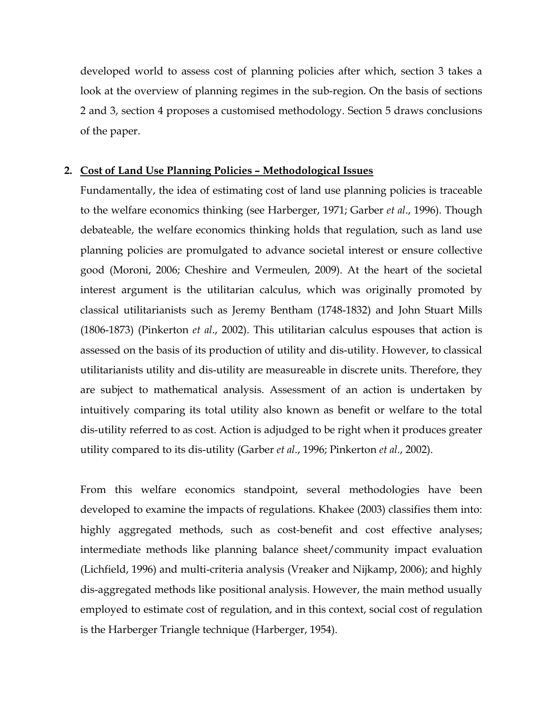developed world to assess cost of planning policies after which, section 3 takes a look at the overview of planning regimes in the sub-region. On the basis of sections 2 and 3, section 4 proposes a customised methodology. Section 5 draws conclusions of the paper.

#### **2. Cost of Land Use Planning Policies – Methodological Issues**

Fundamentally, the idea of estimating cost of land use planning policies is traceable to the welfare economics thinking (see Harberger, 1971; Garber *et al*., 1996). Though debateable, the welfare economics thinking holds that regulation, such as land use planning policies are promulgated to advance societal interest or ensure collective good (Moroni, 2006; Cheshire and Vermeulen, 2009). At the heart of the societal interest argument is the utilitarian calculus, which was originally promoted by classical utilitarianists such as Jeremy Bentham (1748-1832) and John Stuart Mills (1806-1873) (Pinkerton *et al*., 2002). This utilitarian calculus espouses that action is assessed on the basis of its production of utility and dis-utility. However, to classical utilitarianists utility and dis-utility are measureable in discrete units. Therefore, they are subject to mathematical analysis. Assessment of an action is undertaken by intuitively comparing its total utility also known as benefit or welfare to the total dis-utility referred to as cost. Action is adjudged to be right when it produces greater utility compared to its dis-utility (Garber *et al*., 1996; Pinkerton *et al*., 2002).

From this welfare economics standpoint, several methodologies have been developed to examine the impacts of regulations. Khakee (2003) classifies them into: highly aggregated methods, such as cost-benefit and cost effective analyses; intermediate methods like planning balance sheet/community impact evaluation (Lichfield, 1996) and multi-criteria analysis (Vreaker and Nijkamp, 2006); and highly dis-aggregated methods like positional analysis. However, the main method usually employed to estimate cost of regulation, and in this context, social cost of regulation is the Harberger Triangle technique (Harberger, 1954).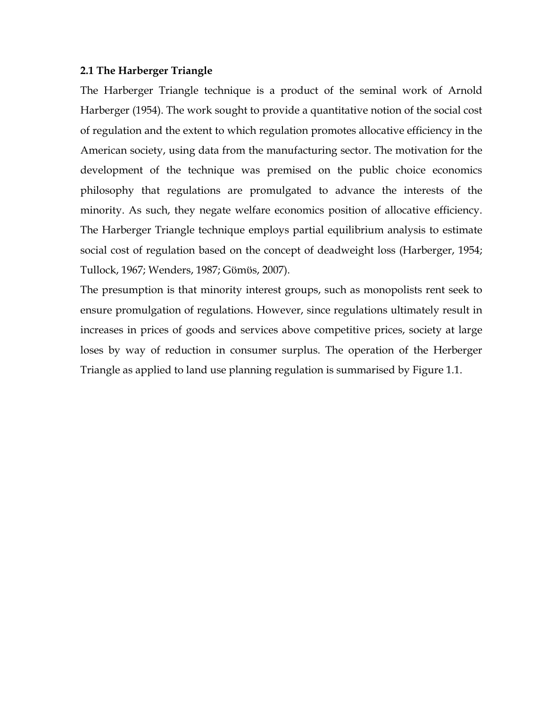## **2.1 The Harberger Triangle**

The Harberger Triangle technique is a product of the seminal work of Arnold Harberger (1954). The work sought to provide a quantitative notion of the social cost of regulation and the extent to which regulation promotes allocative efficiency in the American society, using data from the manufacturing sector. The motivation for the development of the technique was premised on the public choice economics philosophy that regulations are promulgated to advance the interests of the minority. As such, they negate welfare economics position of allocative efficiency. The Harberger Triangle technique employs partial equilibrium analysis to estimate social cost of regulation based on the concept of deadweight loss (Harberger, 1954; Tullock, 1967; Wenders, 1987; Gϋmϋs, 2007).

The presumption is that minority interest groups, such as monopolists rent seek to ensure promulgation of regulations. However, since regulations ultimately result in increases in prices of goods and services above competitive prices, society at large loses by way of reduction in consumer surplus. The operation of the Herberger Triangle as applied to land use planning regulation is summarised by Figure 1.1.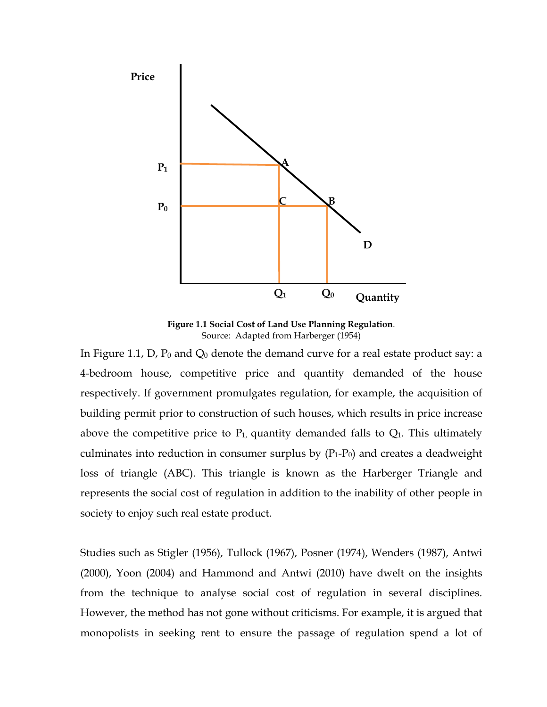

**Figure 1.1 Social Cost of Land Use Planning Regulation**. Source: Adapted from Harberger (1954)

In Figure 1.1, D,  $P_0$  and  $Q_0$  denote the demand curve for a real estate product say: a 4-bedroom house, competitive price and quantity demanded of the house respectively. If government promulgates regulation, for example, the acquisition of building permit prior to construction of such houses, which results in price increase above the competitive price to  $P_1$ , quantity demanded falls to  $Q_1$ . This ultimately culminates into reduction in consumer surplus by  $(P_1-P_0)$  and creates a deadweight loss of triangle (ABC). This triangle is known as the Harberger Triangle and represents the social cost of regulation in addition to the inability of other people in society to enjoy such real estate product.

Studies such as Stigler (1956), Tullock (1967), Posner (1974), Wenders (1987), Antwi (2000), Yoon (2004) and Hammond and Antwi (2010) have dwelt on the insights from the technique to analyse social cost of regulation in several disciplines. However, the method has not gone without criticisms. For example, it is argued that monopolists in seeking rent to ensure the passage of regulation spend a lot of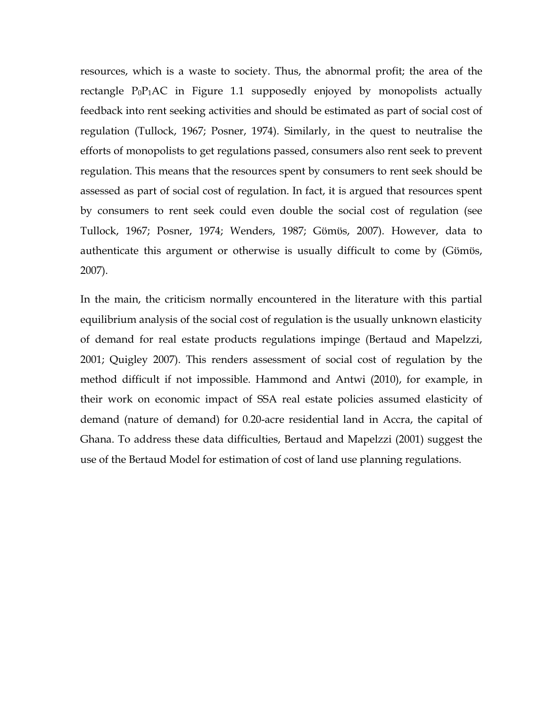resources, which is a waste to society. Thus, the abnormal profit; the area of the rectangle  $P_0P_1AC$  in Figure 1.1 supposedly enjoyed by monopolists actually feedback into rent seeking activities and should be estimated as part of social cost of regulation (Tullock, 1967; Posner, 1974). Similarly, in the quest to neutralise the efforts of monopolists to get regulations passed, consumers also rent seek to prevent regulation. This means that the resources spent by consumers to rent seek should be assessed as part of social cost of regulation. In fact, it is argued that resources spent by consumers to rent seek could even double the social cost of regulation (see Tullock, 1967; Posner, 1974; Wenders, 1987; Gϋmϋs, 2007). However, data to authenticate this argument or otherwise is usually difficult to come by (Gϋmϋs, 2007).

In the main, the criticism normally encountered in the literature with this partial equilibrium analysis of the social cost of regulation is the usually unknown elasticity of demand for real estate products regulations impinge (Bertaud and Mapelzzi, 2001; Quigley 2007). This renders assessment of social cost of regulation by the method difficult if not impossible. Hammond and Antwi (2010), for example, in their work on economic impact of SSA real estate policies assumed elasticity of demand (nature of demand) for 0.20-acre residential land in Accra, the capital of Ghana. To address these data difficulties, Bertaud and Mapelzzi (2001) suggest the use of the Bertaud Model for estimation of cost of land use planning regulations.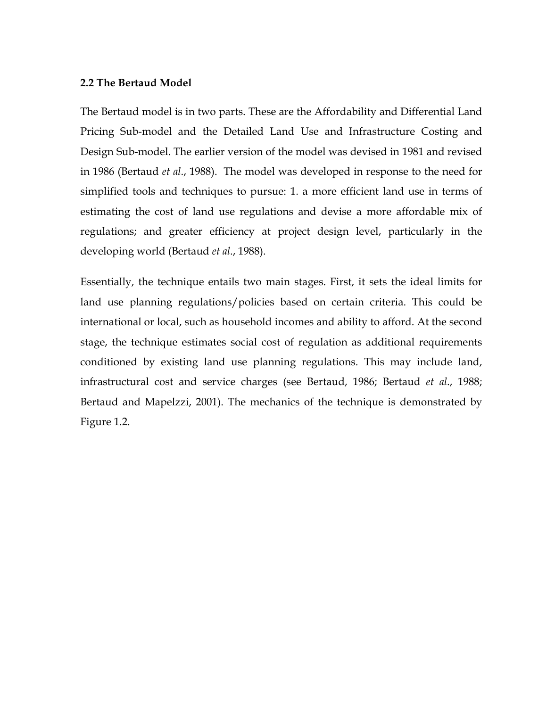## **2.2 The Bertaud Model**

The Bertaud model is in two parts. These are the Affordability and Differential Land Pricing Sub-model and the Detailed Land Use and Infrastructure Costing and Design Sub-model. The earlier version of the model was devised in 1981 and revised in 1986 (Bertaud *et al*., 1988). The model was developed in response to the need for simplified tools and techniques to pursue: 1. a more efficient land use in terms of estimating the cost of land use regulations and devise a more affordable mix of regulations; and greater efficiency at project design level, particularly in the developing world (Bertaud *et al*., 1988).

Essentially, the technique entails two main stages. First, it sets the ideal limits for land use planning regulations/policies based on certain criteria. This could be international or local, such as household incomes and ability to afford. At the second stage, the technique estimates social cost of regulation as additional requirements conditioned by existing land use planning regulations. This may include land, infrastructural cost and service charges (see Bertaud, 1986; Bertaud *et al*., 1988; Bertaud and Mapelzzi, 2001). The mechanics of the technique is demonstrated by Figure 1.2.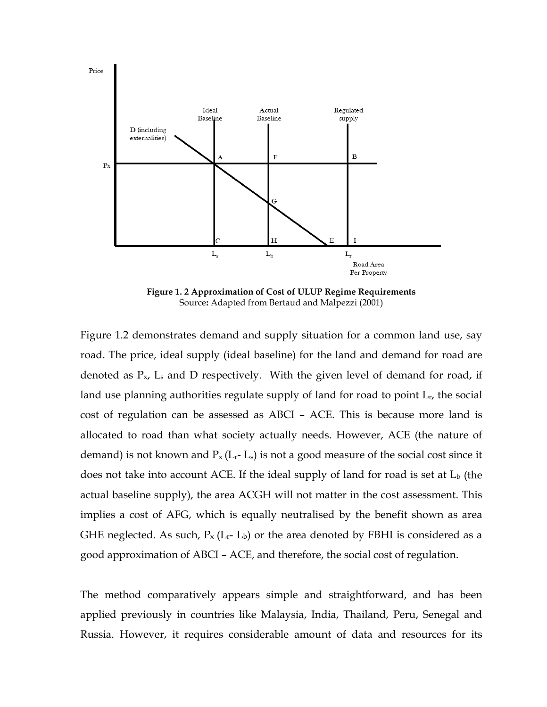

**Figure 1. 2 Approximation of Cost of ULUP Regime Requirements** Source**:** Adapted from Bertaud and Malpezzi (2001)

Figure 1.2 demonstrates demand and supply situation for a common land use, say road. The price, ideal supply (ideal baseline) for the land and demand for road are denoted as  $P_{x}$ ,  $L_s$  and D respectively. With the given level of demand for road, if land use planning authorities regulate supply of land for road to point  $L_r$ , the social cost of regulation can be assessed as ABCI – ACE. This is because more land is allocated to road than what society actually needs. However, ACE (the nature of demand) is not known and  $P_x(L_r-L_s)$  is not a good measure of the social cost since it does not take into account ACE. If the ideal supply of land for road is set at  $L<sub>b</sub>$  (the actual baseline supply), the area ACGH will not matter in the cost assessment. This implies a cost of AFG, which is equally neutralised by the benefit shown as area GHE neglected. As such,  $P_x (L_r - L_b)$  or the area denoted by FBHI is considered as a good approximation of ABCI – ACE, and therefore, the social cost of regulation.

The method comparatively appears simple and straightforward, and has been applied previously in countries like Malaysia, India, Thailand, Peru, Senegal and Russia. However, it requires considerable amount of data and resources for its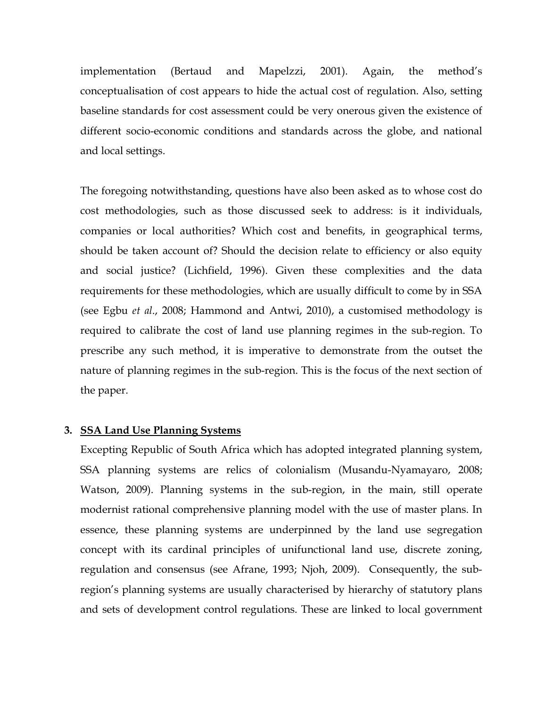implementation (Bertaud and Mapelzzi, 2001). Again, the method's conceptualisation of cost appears to hide the actual cost of regulation. Also, setting baseline standards for cost assessment could be very onerous given the existence of different socio-economic conditions and standards across the globe, and national and local settings.

The foregoing notwithstanding, questions have also been asked as to whose cost do cost methodologies, such as those discussed seek to address: is it individuals, companies or local authorities? Which cost and benefits, in geographical terms, should be taken account of? Should the decision relate to efficiency or also equity and social justice? (Lichfield, 1996). Given these complexities and the data requirements for these methodologies, which are usually difficult to come by in SSA (see Egbu *et al*., 2008; Hammond and Antwi, 2010), a customised methodology is required to calibrate the cost of land use planning regimes in the sub-region. To prescribe any such method, it is imperative to demonstrate from the outset the nature of planning regimes in the sub-region. This is the focus of the next section of the paper.

## **3. SSA Land Use Planning Systems**

Excepting Republic of South Africa which has adopted integrated planning system, SSA planning systems are relics of colonialism (Musandu-Nyamayaro, 2008; Watson, 2009). Planning systems in the sub-region, in the main, still operate modernist rational comprehensive planning model with the use of master plans. In essence, these planning systems are underpinned by the land use segregation concept with its cardinal principles of unifunctional land use, discrete zoning, regulation and consensus (see Afrane, 1993; Njoh, 2009). Consequently, the subregion's planning systems are usually characterised by hierarchy of statutory plans and sets of development control regulations. These are linked to local government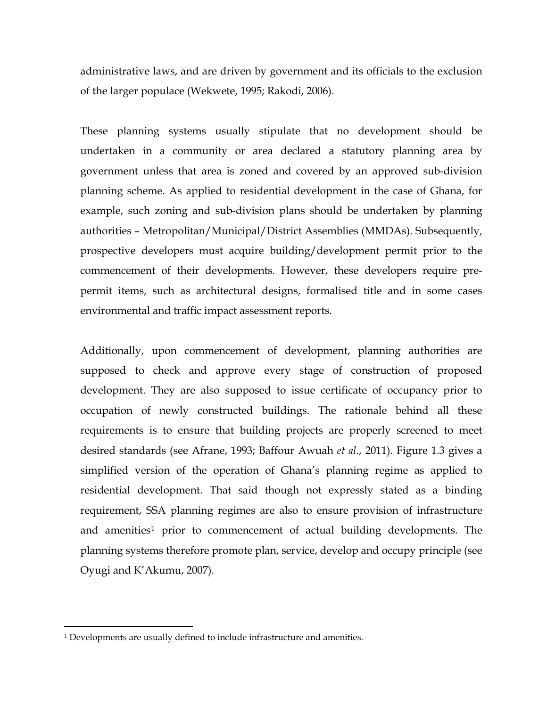administrative laws, and are driven by government and its officials to the exclusion of the larger populace (Wekwete, 1995; Rakodi, 2006).

These planning systems usually stipulate that no development should be undertaken in a community or area declared a statutory planning area by government unless that area is zoned and covered by an approved sub-division planning scheme. As applied to residential development in the case of Ghana, for example, such zoning and sub-division plans should be undertaken by planning authorities – Metropolitan/Municipal/District Assemblies (MMDAs). Subsequently, prospective developers must acquire building/development permit prior to the commencement of their developments. However, these developers require prepermit items, such as architectural designs, formalised title and in some cases environmental and traffic impact assessment reports.

Additionally, upon commencement of development, planning authorities are supposed to check and approve every stage of construction of proposed development. They are also supposed to issue certificate of occupancy prior to occupation of newly constructed buildings. The rationale behind all these requirements is to ensure that building projects are properly screened to meet desired standards (see Afrane, 1993; Baffour Awuah *et al*., 2011). Figure 1.3 gives a simplified version of the operation of Ghana's planning regime as applied to residential development. That said though not expressly stated as a binding requirement, SSA planning regimes are also to ensure provision of infrastructure and amenities<sup>[1](#page-9-0)</sup> prior to commencement of actual building developments. The planning systems therefore promote plan, service, develop and occupy principle (see Oyugi and K'Akumu, 2007).

 $\overline{a}$ 

<span id="page-9-0"></span><sup>1</sup> Developments are usually defined to include infrastructure and amenities.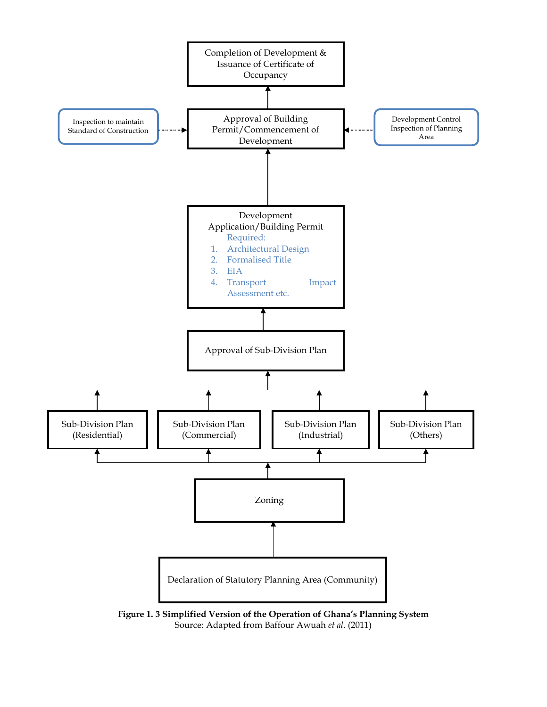

**Figure 1. 3 Simplified Version of the Operation of Ghana's Planning System** Source: Adapted from Baffour Awuah *et al*. (2011)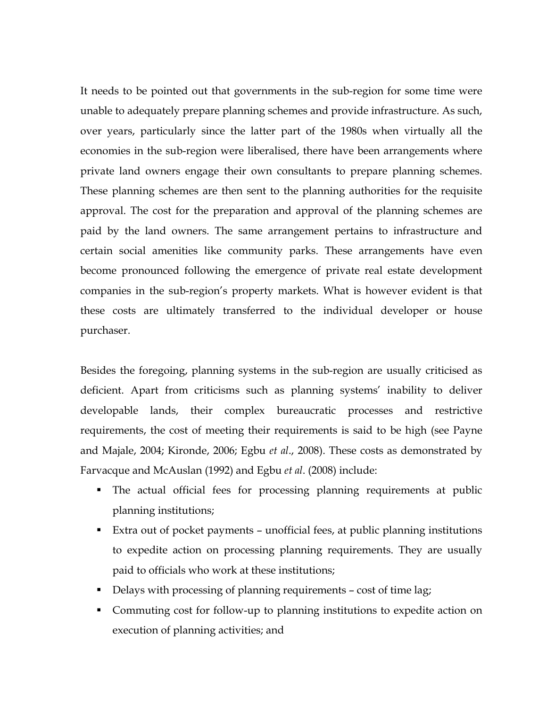It needs to be pointed out that governments in the sub-region for some time were unable to adequately prepare planning schemes and provide infrastructure. As such, over years, particularly since the latter part of the 1980s when virtually all the economies in the sub-region were liberalised, there have been arrangements where private land owners engage their own consultants to prepare planning schemes. These planning schemes are then sent to the planning authorities for the requisite approval. The cost for the preparation and approval of the planning schemes are paid by the land owners. The same arrangement pertains to infrastructure and certain social amenities like community parks. These arrangements have even become pronounced following the emergence of private real estate development companies in the sub-region's property markets. What is however evident is that these costs are ultimately transferred to the individual developer or house purchaser.

Besides the foregoing, planning systems in the sub-region are usually criticised as deficient. Apart from criticisms such as planning systems' inability to deliver developable lands, their complex bureaucratic processes and restrictive requirements, the cost of meeting their requirements is said to be high (see Payne and Majale, 2004; Kironde, 2006; Egbu *et al*., 2008). These costs as demonstrated by Farvacque and McAuslan (1992) and Egbu *et al*. (2008) include:

- The actual official fees for processing planning requirements at public planning institutions;
- Extra out of pocket payments unofficial fees, at public planning institutions to expedite action on processing planning requirements. They are usually paid to officials who work at these institutions;
- Delays with processing of planning requirements cost of time lag;
- Commuting cost for follow-up to planning institutions to expedite action on execution of planning activities; and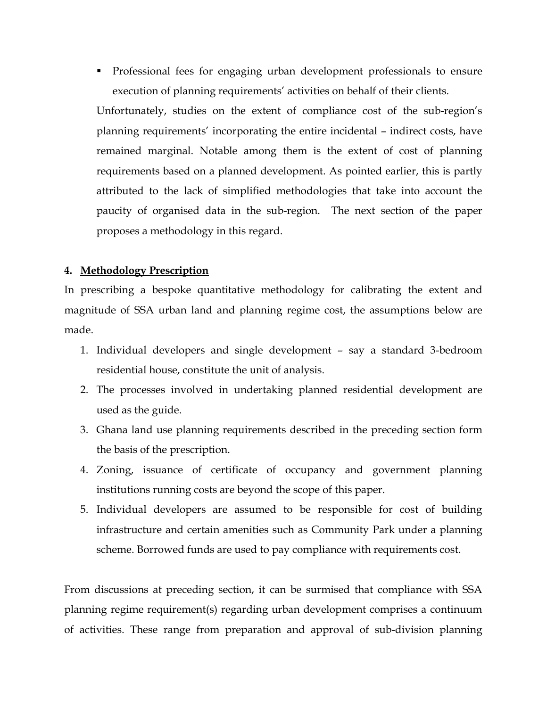Professional fees for engaging urban development professionals to ensure execution of planning requirements' activities on behalf of their clients.

Unfortunately, studies on the extent of compliance cost of the sub-region's planning requirements' incorporating the entire incidental – indirect costs, have remained marginal. Notable among them is the extent of cost of planning requirements based on a planned development. As pointed earlier, this is partly attributed to the lack of simplified methodologies that take into account the paucity of organised data in the sub-region. The next section of the paper proposes a methodology in this regard.

## **4. Methodology Prescription**

In prescribing a bespoke quantitative methodology for calibrating the extent and magnitude of SSA urban land and planning regime cost, the assumptions below are made.

- 1. Individual developers and single development say a standard 3-bedroom residential house, constitute the unit of analysis.
- 2. The processes involved in undertaking planned residential development are used as the guide.
- 3. Ghana land use planning requirements described in the preceding section form the basis of the prescription.
- 4. Zoning, issuance of certificate of occupancy and government planning institutions running costs are beyond the scope of this paper.
- 5. Individual developers are assumed to be responsible for cost of building infrastructure and certain amenities such as Community Park under a planning scheme. Borrowed funds are used to pay compliance with requirements cost.

From discussions at preceding section, it can be surmised that compliance with SSA planning regime requirement(s) regarding urban development comprises a continuum of activities. These range from preparation and approval of sub-division planning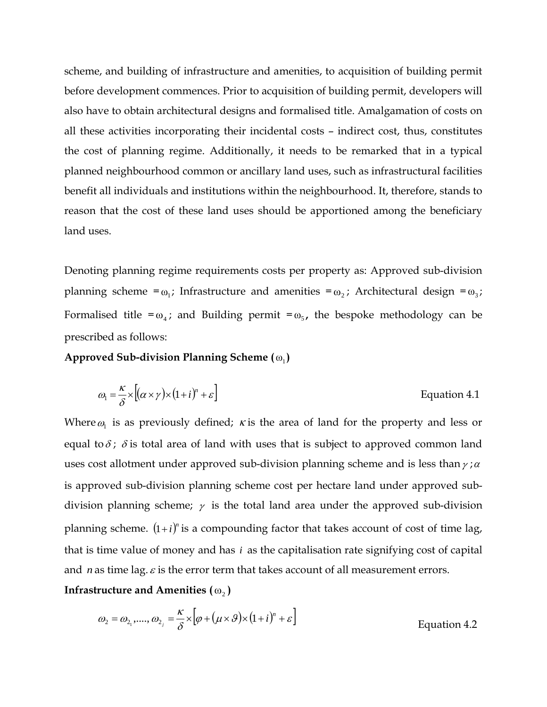scheme, and building of infrastructure and amenities, to acquisition of building permit before development commences. Prior to acquisition of building permit, developers will also have to obtain architectural designs and formalised title. Amalgamation of costs on all these activities incorporating their incidental costs – indirect cost, thus, constitutes the cost of planning regime. Additionally, it needs to be remarked that in a typical planned neighbourhood common or ancillary land uses, such as infrastructural facilities benefit all individuals and institutions within the neighbourhood. It, therefore, stands to reason that the cost of these land uses should be apportioned among the beneficiary land uses.

Denoting planning regime requirements costs per property as: Approved sub-division planning scheme =ω<sub>1</sub>; Infrastructure and amenities =ω<sub>2</sub>; Architectural design =ω<sub>3</sub>; Formalised title = $\omega_4$ ; and Building permit = $\omega_5$ , the bespoke methodology can be prescribed as follows:

**Approved Sub-division Planning Scheme** (ω<sub>1</sub>)

$$
\omega_1 = \frac{\kappa}{\delta} \times \left[ (\alpha \times \gamma) \times (1 + i)^n + \varepsilon \right]
$$
 Equation 4.1

Where  $\omega_1$  is as previously defined;  $\kappa$  is the area of land for the property and less or equal to  $\delta$ ;  $\delta$  is total area of land with uses that is subject to approved common land uses cost allotment under approved sub-division planning scheme and is less than  $\gamma$ ;  $\alpha$ is approved sub-division planning scheme cost per hectare land under approved subdivision planning scheme;  $\gamma$  is the total land area under the approved sub-division planning scheme.  $(1+i)^n$  is a compounding factor that takes account of cost of time lag, that is time value of money and has *i* as the capitalisation rate signifying cost of capital and *n* as time lag.  $\varepsilon$  is the error term that takes account of all measurement errors.

**Infrastructure and Amenities (** $\omega$ **<sub>2</sub>)** 

$$
\omega_2 = \omega_{2_1}, \dots, \omega_{2_j} = \frac{\kappa}{\delta} \times \left[ \varphi + (\mu \times \vartheta) \times (1 + i)^n + \varepsilon \right]
$$
\nEquation 4.2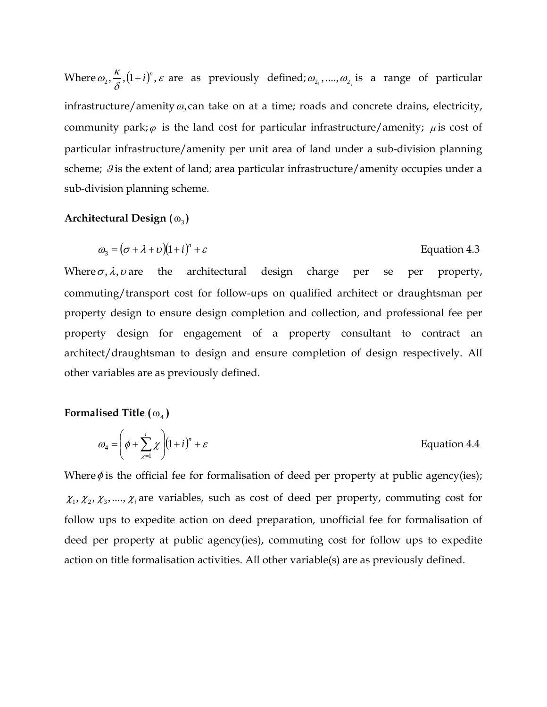Where  $\omega_2$ ,  $\frac{\kappa}{\delta}$ ,  $(1+i)^n$ ,  $\varepsilon$  $\omega_2, \frac{\kappa}{s}, (1+i)^n, \varepsilon$  are as previously defined;  $\omega_{2_1}, ..., \omega_{2_j}$  is a range of particular infrastructure/amenity  $\omega_2$  can take on at a time; roads and concrete drains, electricity, community park; $\varphi$  is the land cost for particular infrastructure/amenity;  $\mu$  is cost of particular infrastructure/amenity per unit area of land under a sub-division planning scheme;  $\theta$  is the extent of land; area particular infrastructure/amenity occupies under a sub-division planning scheme.

#### **Architectural Design (**ω<sub>3</sub>)

$$
\omega_3 = (\sigma + \lambda + \nu)(1 + i)^n + \varepsilon
$$
 Equation 4.3

Where  $\sigma$ ,  $\lambda$ ,  $\nu$  are the architectural design charge per se per property, commuting/transport cost for follow-ups on qualified architect or draughtsman per property design to ensure design completion and collection, and professional fee per property design for engagement of a property consultant to contract an architect/draughtsman to design and ensure completion of design respectively. All other variables are as previously defined.

#### **Formalised Title**  $(\omega_4)$

$$
\omega_4 = \left(\phi + \sum_{\chi=1}^i \chi\right) (1+i)^n + \varepsilon
$$
 Equation 4.4

Where  $\phi$  is the official fee for formalisation of deed per property at public agency(ies);  $\chi_1, \chi_2, \chi_3, \ldots, \chi_i$  are variables, such as cost of deed per property, commuting cost for follow ups to expedite action on deed preparation, unofficial fee for formalisation of deed per property at public agency(ies), commuting cost for follow ups to expedite action on title formalisation activities. All other variable(s) are as previously defined.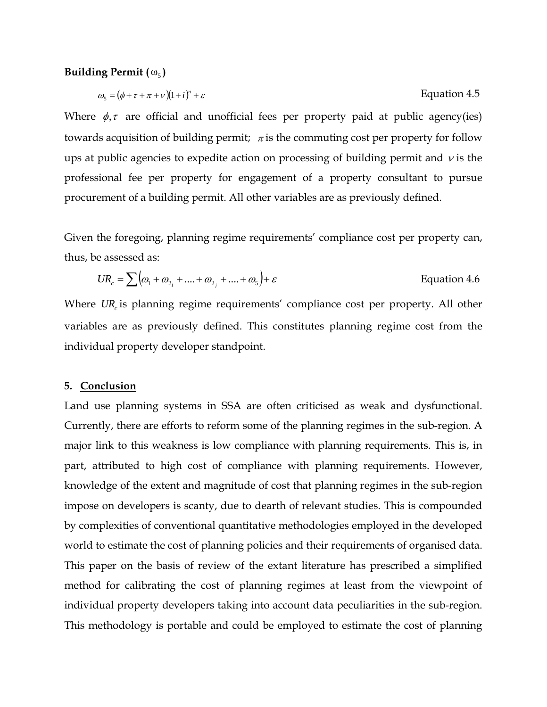#### **Building Permit (** $\omega_5$ **)**

$$
\omega_{s} = (\phi + \tau + \pi + \nu)(1 + i)^{n} + \varepsilon
$$
 Equation 4.5

Where  $\phi$ ,  $\tau$  are official and unofficial fees per property paid at public agency(ies) towards acquisition of building permit;  $\pi$  is the commuting cost per property for follow ups at public agencies to expedite action on processing of building permit and  $\nu$  is the professional fee per property for engagement of a property consultant to pursue procurement of a building permit. All other variables are as previously defined.

Given the foregoing, planning regime requirements' compliance cost per property can, thus, be assessed as:

$$
UR_c = \sum \big(\omega_1 + \omega_{2_1} + \dots + \omega_{2_j} + \dots + \omega_5\big) + \varepsilon
$$
 Equation 4.6

Where *UR* is planning regime requirements' compliance cost per property. All other variables are as previously defined. This constitutes planning regime cost from the individual property developer standpoint.

#### **5. Conclusion**

Land use planning systems in SSA are often criticised as weak and dysfunctional. Currently, there are efforts to reform some of the planning regimes in the sub-region. A major link to this weakness is low compliance with planning requirements. This is, in part, attributed to high cost of compliance with planning requirements. However, knowledge of the extent and magnitude of cost that planning regimes in the sub-region impose on developers is scanty, due to dearth of relevant studies. This is compounded by complexities of conventional quantitative methodologies employed in the developed world to estimate the cost of planning policies and their requirements of organised data. This paper on the basis of review of the extant literature has prescribed a simplified method for calibrating the cost of planning regimes at least from the viewpoint of individual property developers taking into account data peculiarities in the sub-region. This methodology is portable and could be employed to estimate the cost of planning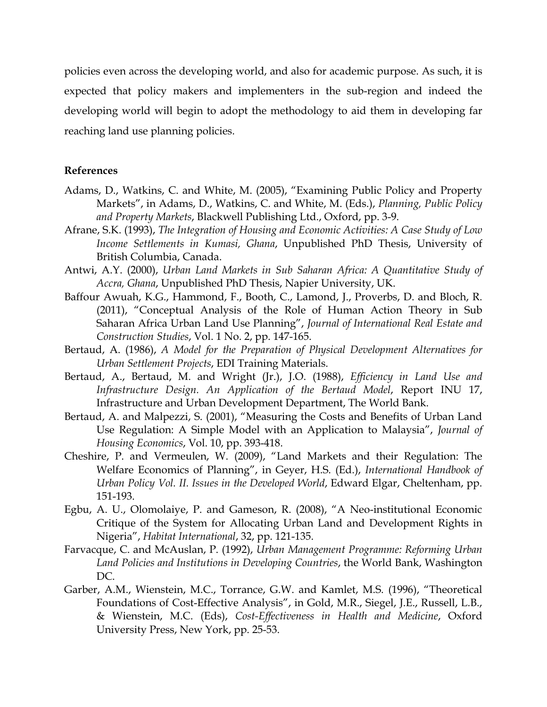policies even across the developing world, and also for academic purpose. As such, it is expected that policy makers and implementers in the sub-region and indeed the developing world will begin to adopt the methodology to aid them in developing far reaching land use planning policies.

#### **References**

- Adams, D., Watkins, C. and White, M. (2005), "Examining Public Policy and Property Markets", in Adams, D., Watkins, C. and White, M. (Eds.), *Planning, Public Policy and Property Markets*, Blackwell Publishing Ltd., Oxford, pp. 3-9.
- Afrane, S.K. (1993), *The Integration of Housing and Economic Activities: A Case Study of Low Income Settlements in Kumasi, Ghana*, Unpublished PhD Thesis, University of British Columbia, Canada.
- Antwi, A.Y. (2000), *Urban Land Markets in Sub Saharan Africa: A Quantitative Study of Accra, Ghana*, Unpublished PhD Thesis, Napier University, UK.
- Baffour Awuah, K.G., Hammond, F., Booth, C., Lamond, J., Proverbs, D. and Bloch, R. (2011), "Conceptual Analysis of the Role of Human Action Theory in Sub Saharan Africa Urban Land Use Planning", *Journal of International Real Estate and Construction Studies*, Vol. 1 No. 2, pp. 147-165.
- Bertaud, A. (1986), *A Model for the Preparation of Physical Development Alternatives for Urban Settlement Projects*, EDI Training Materials.
- Bertaud, A., Bertaud, M. and Wright (Jr.), J.O. (1988), *Efficiency in Land Use and Infrastructure Design. An Application of the Bertaud Model*, Report INU 17, Infrastructure and Urban Development Department, The World Bank.
- Bertaud, A. and Malpezzi, S. (2001), "Measuring the Costs and Benefits of Urban Land Use Regulation: A Simple Model with an Application to Malaysia", *Journal of Housing Economics*, Vol. 10, pp. 393-418.
- Cheshire, P. and Vermeulen, W. (2009), "Land Markets and their Regulation: The Welfare Economics of Planning", in Geyer, H.S. (Ed.), *International Handbook of Urban Policy Vol. II. Issues in the Developed World*, Edward Elgar, Cheltenham, pp. 151-193.
- Egbu, A. U., Olomolaiye, P. and Gameson, R. (2008), "A Neo-institutional Economic Critique of the System for Allocating Urban Land and Development Rights in Nigeria", *Habitat International*, 32, pp. 121-135.
- Farvacque, C. and McAuslan, P. (1992), *Urban Management Programme: Reforming Urban Land Policies and Institutions in Developing Countries*, the World Bank, Washington DC.
- Garber, A.M., Wienstein, M.C., Torrance, G.W. and Kamlet, M.S. (1996), "Theoretical Foundations of Cost-Effective Analysis", in Gold, M.R., Siegel, J.E., Russell, L.B., & Wienstein, M.C. (Eds), *Cost-Effectiveness in Health and Medicine*, Oxford University Press, New York, pp. 25-53.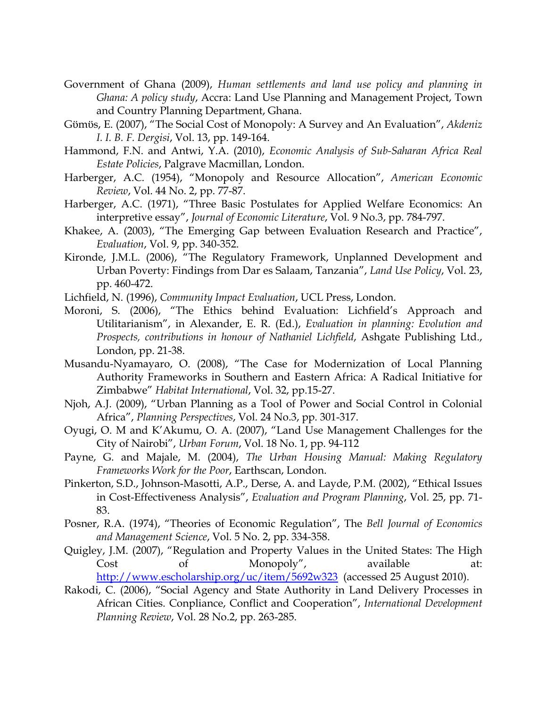- Government of Ghana (2009), *Human settlements and land use policy and planning in Ghana: A policy study*, Accra: Land Use Planning and Management Project, Town and Country Planning Department, Ghana.
- Gϋmϋs, E. (2007), "The Social Cost of Monopoly: A Survey and An Evaluation", *Akdeniz I. I. B. F. Dergisi*, Vol. 13, pp. 149-164.
- Hammond, F.N. and Antwi, Y.A. (2010), *Economic Analysis of Sub-Saharan Africa Real Estate Policies*, Palgrave Macmillan, London.
- Harberger, A.C. (1954), "Monopoly and Resource Allocation", *American Economic Review*, Vol. 44 No. 2, pp. 77-87.
- Harberger, A.C. (1971), "Three Basic Postulates for Applied Welfare Economics: An interpretive essay", *Journal of Economic Literature*, Vol. 9 No.3, pp. 784-797.
- Khakee, A. (2003), "The Emerging Gap between Evaluation Research and Practice", *Evaluation*, Vol. 9, pp. 340-352.
- Kironde, J.M.L. (2006), "The Regulatory Framework, Unplanned Development and Urban Poverty: Findings from Dar es Salaam, Tanzania", *Land Use Policy*, Vol. 23, pp. 460-472.
- Lichfield, N. (1996), *Community Impact Evaluation*, UCL Press, London.
- Moroni, S. (2006), "The Ethics behind Evaluation: Lichfield's Approach and Utilitarianism", in Alexander, E. R. (Ed.), *Evaluation in planning: Evolution and Prospects, contributions in honour of Nathaniel Lichfield*, Ashgate Publishing Ltd., London, pp. 21-38.
- Musandu-Nyamayaro, O. (2008), "The Case for Modernization of Local Planning Authority Frameworks in Southern and Eastern Africa: A Radical Initiative for Zimbabwe" *Habitat International*, Vol. 32, pp.15-27.
- Njoh, A.J. (2009), "Urban Planning as a Tool of Power and Social Control in Colonial Africa", *Planning Perspectives*, Vol. 24 No.3, pp. 301-317.
- Oyugi, O. M and K'Akumu, O. A. (2007), "Land Use Management Challenges for the City of Nairobi", *Urban Forum*, Vol. 18 No. 1, pp. 94-112
- Payne, G. and Majale, M. (2004), *The Urban Housing Manual: Making Regulatory Frameworks Work for the Poor*, Earthscan, London.
- Pinkerton, S.D., Johnson-Masotti, A.P., Derse, A. and Layde, P.M. (2002), "Ethical Issues in Cost-Effectiveness Analysis", *Evaluation and Program Planning*, Vol. 25, pp. 71- 83.
- Posner, R.A. (1974), "Theories of Economic Regulation", The *Bell Journal of Economics and Management Science*, Vol. 5 No. 2, pp. 334-358.
- Quigley, J.M. (2007), "Regulation and Property Values in the United States: The High Cost of Monopoly", available at: <http://www.escholarship.org/uc/item/5692w323> (accessed 25 August 2010).
- Rakodi, C. (2006), "Social Agency and State Authority in Land Delivery Processes in African Cities. Conpliance, Conflict and Cooperation", *International Development Planning Review*, Vol. 28 No.2, pp. 263-285.